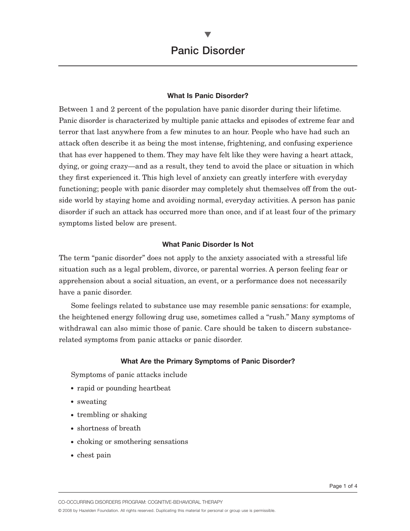# **What Is Panic Disorder?**

Between 1 and 2 percent of the population have panic disorder during their lifetime. Panic disorder is characterized by multiple panic attacks and episodes of extreme fear and terror that last anywhere from a few minutes to an hour. People who have had such an attack often describe it as being the most intense, frightening, and confusing experience that has ever happened to them. They may have felt like they were having a heart attack, dying, or going crazy—and as a result, they tend to avoid the place or situation in which they first experienced it. This high level of anxiety can greatly interfere with everyday functioning; people with panic disorder may completely shut themselves off from the outside world by staying home and avoiding normal, everyday activities. A person has panic disorder if such an attack has occurred more than once, and if at least four of the primary symptoms listed below are present.

### **What Panic Disorder Is Not**

The term "panic disorder" does not apply to the anxiety associated with a stressful life situation such as a legal problem, divorce, or parental worries. A person feeling fear or apprehension about a social situation, an event, or a performance does not necessarily have a panic disorder.

Some feelings related to substance use may resemble panic sensations: for example, the heightened energy following drug use, sometimes called a "rush." Many symptoms of withdrawal can also mimic those of panic. Care should be taken to discern substancerelated symptoms from panic attacks or panic disorder.

#### **What Are the Primary Symptoms of Panic Disorder?**

Symptoms of panic attacks include

- rapid or pounding heartbeat
- sweating
- trembling or shaking
- shortness of breath
- choking or smothering sensations
- chest pain

CO-OCCURRING DISORDERS PROGRAM: COGNITIVE-BEHAVIORAL THERAPY

© 2008 by Hazelden Foundation. All rights reserved. Duplicating this material for personal or group use is permissible.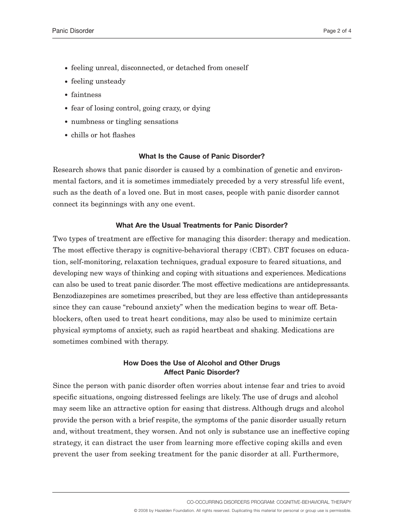- feeling unreal, disconnected, or detached from oneself
- feeling unsteady
- faintness
- fear of losing control, going crazy, or dying
- numbness or tingling sensations
- chills or hot flashes

### **What Is the Cause of Panic Disorder?**

Research shows that panic disorder is caused by a combination of genetic and environmental factors, and it is sometimes immediately preceded by a very stressful life event, such as the death of a loved one. But in most cases, people with panic disorder cannot connect its beginnings with any one event.

### **What Are the Usual Treatments for Panic Disorder?**

Two types of treatment are effective for managing this disorder: therapy and medication. The most effective therapy is cognitive-behavioral therapy (CBT). CBT focuses on education, self-monitoring, relaxation techniques, gradual exposure to feared situations, and developing new ways of thinking and coping with situations and experiences. Medications can also be used to treat panic disorder. The most effective medications are antidepressants. Benzodiazepines are sometimes prescribed, but they are less effective than antidepressants since they can cause "rebound anxiety" when the medication begins to wear off. Betablockers, often used to treat heart conditions, may also be used to minimize certain physical symptoms of anxiety, such as rapid heartbeat and shaking. Medications are sometimes combined with therapy.

# **How Does the Use of Alcohol and Other Drugs Affect Panic Disorder?**

Since the person with panic disorder often worries about intense fear and tries to avoid specific situations, ongoing distressed feelings are likely. The use of drugs and alcohol may seem like an attractive option for easing that distress. Although drugs and alcohol provide the person with a brief respite, the symptoms of the panic disorder usually return and, without treatment, they worsen. And not only is substance use an ineffective coping strategy, it can distract the user from learning more effective coping skills and even prevent the user from seeking treatment for the panic disorder at all. Furthermore,

CO-OCCURRING DISORDERS PROGRAM: COGNITIVE-BEHAVIORAL THERAPY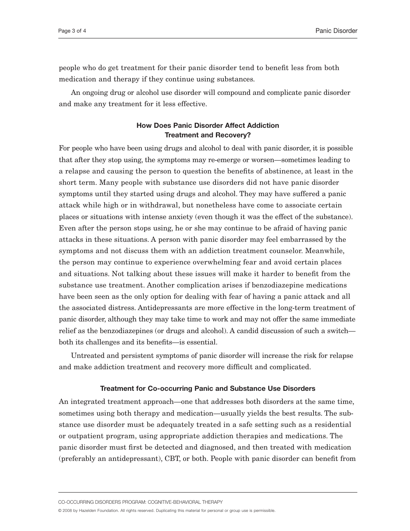people who do get treatment for their panic disorder tend to benefit less from both medication and therapy if they continue using substances.

An ongoing drug or alcohol use disorder will compound and complicate panic disorder and make any treatment for it less effective.

# **How Does Panic Disorder Affect Addiction Treatment and Recovery?**

For people who have been using drugs and alcohol to deal with panic disorder, it is possible that after they stop using, the symptoms may re-emerge or worsen—sometimes leading to a relapse and causing the person to question the benefits of abstinence, at least in the short term. Many people with substance use disorders did not have panic disorder symptoms until they started using drugs and alcohol. They may have suffered a panic attack while high or in withdrawal, but nonetheless have come to associate certain places or situations with intense anxiety (even though it was the effect of the substance). Even after the person stops using, he or she may continue to be afraid of having panic attacks in these situations. A person with panic disorder may feel embarrassed by the symptoms and not discuss them with an addiction treatment counselor. Meanwhile, the person may continue to experience overwhelming fear and avoid certain places and situations. Not talking about these issues will make it harder to benefit from the substance use treatment. Another complication arises if benzodiazepine medications have been seen as the only option for dealing with fear of having a panic attack and all the associated distress. Antidepressants are more effective in the long-term treatment of panic disorder, although they may take time to work and may not offer the same immediate relief as the benzodiazepines (or drugs and alcohol). A candid discussion of such a switch both its challenges and its benefits—is essential.

Untreated and persistent symptoms of panic disorder will increase the risk for relapse and make addiction treatment and recovery more difficult and complicated.

#### **Treatment for Co-occurring Panic and Substance Use Disorders**

An integrated treatment approach—one that addresses both disorders at the same time, sometimes using both therapy and medication—usually yields the best results. The substance use disorder must be adequately treated in a safe setting such as a residential or outpatient program, using appropriate addiction therapies and medications. The panic disorder must first be detected and diagnosed, and then treated with medication (preferably an antidepressant), CBT, or both. People with panic disorder can benefit from

CO-OCCURRING DISORDERS PROGRAM: COGNITIVE-BEHAVIORAL THERAPY

© 2008 by Hazelden Foundation. All rights reserved. Duplicating this material for personal or group use is permissible.